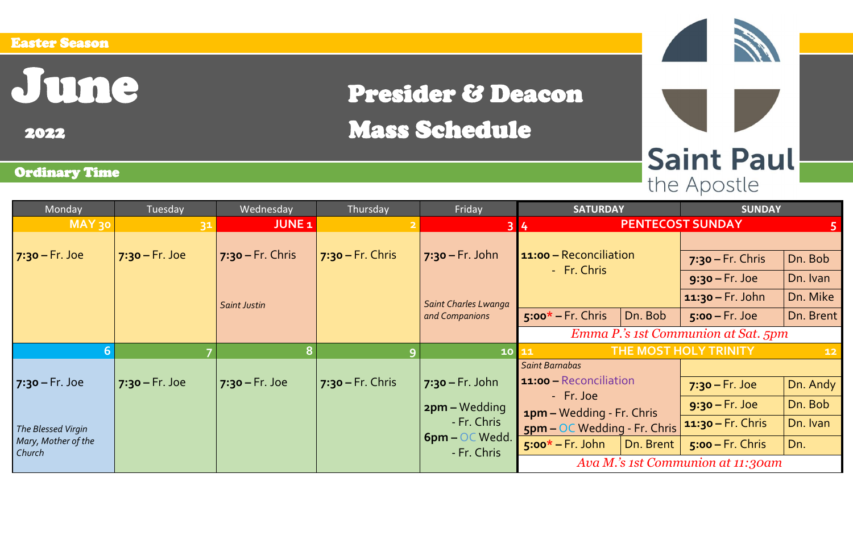## Easter Season

## June Presider & Deacon <sup>2022</sup> Mass Schedule

## Ordinary Time

| Monday                                                                          | Tuesday             | Wednesday               | Thursday           | Friday                                                                                  | <b>SATURDAY</b>                                                  |                         | <b>SUNDAY</b>                          |                     |
|---------------------------------------------------------------------------------|---------------------|-------------------------|--------------------|-----------------------------------------------------------------------------------------|------------------------------------------------------------------|-------------------------|----------------------------------------|---------------------|
| MAY 30                                                                          | 31                  | <b>JUNE<sub>1</sub></b> |                    |                                                                                         | $\frac{1}{4}$                                                    | <b>PENTECOST SUNDAY</b> |                                        |                     |
| $7:30 - Fr.$ Joe                                                                | $7:30 - Fr.$ Joe    | $7:30 - Fr. Chris$      | $7:30 - Fr. Chris$ | $7:30 - Fr.$ John                                                                       | 11:00 - Reconciliation<br>- Fr. Chris                            |                         | $7:30 - Fr. Chris$<br>$9:30 - Fr.$ Joe | Dn. Bob<br>Dn. Ivan |
|                                                                                 | <b>Saint Justin</b> |                         |                    | <b>Saint Charles Lwanga</b><br>and Companions                                           |                                                                  |                         | $11:30 - Fr. John$                     | Dn. Mike            |
|                                                                                 |                     |                         |                    |                                                                                         | $5:00* - Fr. Chris$                                              | Dn. Bob                 | $5:00 - Fr.$ Joe                       | Dn. Brent           |
|                                                                                 |                     |                         |                    |                                                                                         |                                                                  |                         | Emma P.'s 1st Communion at Sat. 5pm    |                     |
| 6                                                                               |                     |                         |                    | 10 <sup>1</sup>                                                                         | THE MOST HOLY TRINITY<br>11                                      |                         |                                        | 12                  |
| $ 7:30 - Fr.$ Joe<br>The Blessed Virgin<br>Mary, Mother of the<br><b>Church</b> | $7:30 - Fr.$ Joe    | $7:30 - Fr.$ Joe        | $7:30 - Fr. Chris$ | $7:30 - Fr.$ John<br><b>2pm-Wedding</b><br>- Fr. Chris<br>6pm - OC Wedd.<br>- Fr. Chris | <b>Saint Barnabas</b>                                            |                         |                                        |                     |
|                                                                                 |                     |                         |                    |                                                                                         | 11:00 - Reconciliation                                           |                         | $7:30 - Fr.$ Joe                       | Dn. Andy            |
|                                                                                 |                     |                         |                    |                                                                                         | - Fr. Joe                                                        |                         | $9:30 - Fr.$ Joe                       | Dn. Bob             |
|                                                                                 |                     |                         |                    |                                                                                         | <b>1pm – Wedding - Fr. Chris</b><br>5pm - OC Wedding - Fr. Chris |                         | $11:30 - Fr. Chris$                    | Dn. Ivan            |
|                                                                                 |                     |                         |                    |                                                                                         | $5:00* - Fr. John$                                               | Dn. Brent               | $5:00 - Fr. Chris$                     | Dn.                 |
|                                                                                 |                     |                         |                    |                                                                                         | Ava M.'s 1st Communion at 11:30am                                |                         |                                        |                     |